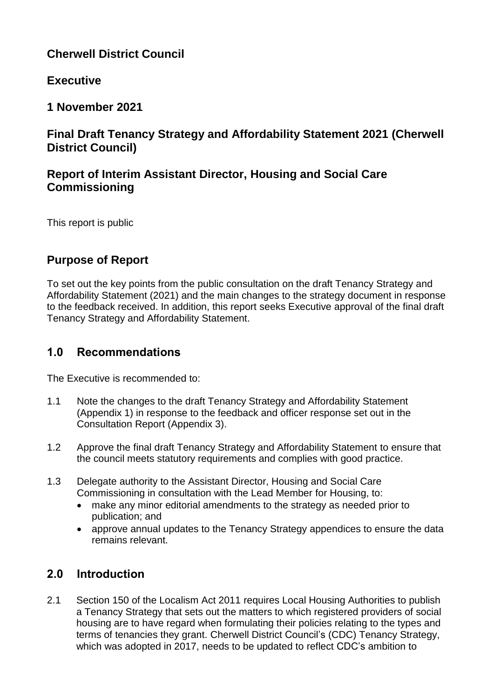# **Cherwell District Council**

# **Executive**

**1 November 2021**

# **Final Draft Tenancy Strategy and Affordability Statement 2021 (Cherwell District Council)**

# **Report of Interim Assistant Director, Housing and Social Care Commissioning**

This report is public

# **Purpose of Report**

To set out the key points from the public consultation on the draft Tenancy Strategy and Affordability Statement (2021) and the main changes to the strategy document in response to the feedback received. In addition, this report seeks Executive approval of the final draft Tenancy Strategy and Affordability Statement.

# **1.0 Recommendations**

The Executive is recommended to:

- 1.1 Note the changes to the draft Tenancy Strategy and Affordability Statement (Appendix 1) in response to the feedback and officer response set out in the Consultation Report (Appendix 3).
- 1.2 Approve the final draft Tenancy Strategy and Affordability Statement to ensure that the council meets statutory requirements and complies with good practice.
- 1.3 Delegate authority to the Assistant Director, Housing and Social Care Commissioning in consultation with the Lead Member for Housing, to:
	- make any minor editorial amendments to the strategy as needed prior to publication; and
	- approve annual updates to the Tenancy Strategy appendices to ensure the data remains relevant.

# **2.0 Introduction**

2.1 Section 150 of the Localism Act 2011 requires Local Housing Authorities to publish a Tenancy Strategy that sets out the matters to which registered providers of social housing are to have regard when formulating their policies relating to the types and terms of tenancies they grant. Cherwell District Council's (CDC) Tenancy Strategy, which was adopted in 2017, needs to be updated to reflect CDC's ambition to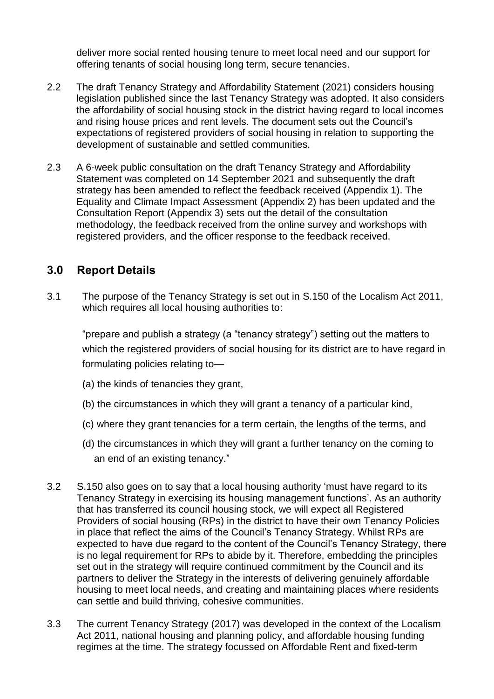deliver more social rented housing tenure to meet local need and our support for offering tenants of social housing long term, secure tenancies.

- 2.2 The draft Tenancy Strategy and Affordability Statement (2021) considers housing legislation published since the last Tenancy Strategy was adopted. It also considers the affordability of social housing stock in the district having regard to local incomes and rising house prices and rent levels. The document sets out the Council's expectations of registered providers of social housing in relation to supporting the development of sustainable and settled communities.
- 2.3 A 6-week public consultation on the draft Tenancy Strategy and Affordability Statement was completed on 14 September 2021 and subsequently the draft strategy has been amended to reflect the feedback received (Appendix 1). The Equality and Climate Impact Assessment (Appendix 2) has been updated and the Consultation Report (Appendix 3) sets out the detail of the consultation methodology, the feedback received from the online survey and workshops with registered providers, and the officer response to the feedback received.

## **3.0 Report Details**

3.1 The purpose of the Tenancy Strategy is set out in S.150 of the Localism Act 2011, which requires all local housing authorities to:

"prepare and publish a strategy (a "tenancy strategy") setting out the matters to which the registered providers of social housing for its district are to have regard in formulating policies relating to—

- (a) the kinds of tenancies they grant,
- (b) the circumstances in which they will grant a tenancy of a particular kind,
- (c) where they grant tenancies for a term certain, the lengths of the terms, and
- (d) the circumstances in which they will grant a further tenancy on the coming to an end of an existing tenancy."
- 3.2 S.150 also goes on to say that a local housing authority 'must have regard to its Tenancy Strategy in exercising its housing management functions'. As an authority that has transferred its council housing stock, we will expect all Registered Providers of social housing (RPs) in the district to have their own Tenancy Policies in place that reflect the aims of the Council's Tenancy Strategy. Whilst RPs are expected to have due regard to the content of the Council's Tenancy Strategy, there is no legal requirement for RPs to abide by it. Therefore, embedding the principles set out in the strategy will require continued commitment by the Council and its partners to deliver the Strategy in the interests of delivering genuinely affordable housing to meet local needs, and creating and maintaining places where residents can settle and build thriving, cohesive communities.
- 3.3 The current Tenancy Strategy (2017) was developed in the context of the Localism Act 2011, national housing and planning policy, and affordable housing funding regimes at the time. The strategy focussed on Affordable Rent and fixed-term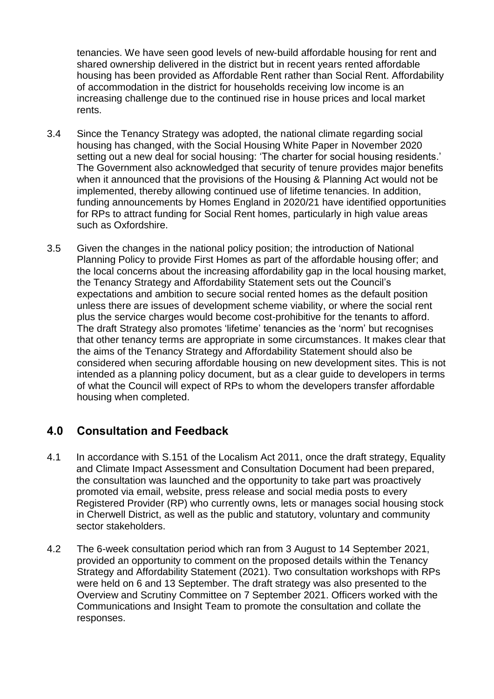tenancies. We have seen good levels of new-build affordable housing for rent and shared ownership delivered in the district but in recent years rented affordable housing has been provided as Affordable Rent rather than Social Rent. Affordability of accommodation in the district for households receiving low income is an increasing challenge due to the continued rise in house prices and local market rents.

- 3.4 Since the Tenancy Strategy was adopted, the national climate regarding social housing has changed, with the Social Housing White Paper in November 2020 setting out a new deal for social housing: 'The charter for social housing residents.' The Government also acknowledged that security of tenure provides major benefits when it announced that the provisions of the Housing & Planning Act would not be implemented, thereby allowing continued use of lifetime tenancies. In addition, funding announcements by Homes England in 2020/21 have identified opportunities for RPs to attract funding for Social Rent homes, particularly in high value areas such as Oxfordshire.
- 3.5 Given the changes in the national policy position; the introduction of National Planning Policy to provide First Homes as part of the affordable housing offer; and the local concerns about the increasing affordability gap in the local housing market, the Tenancy Strategy and Affordability Statement sets out the Council's expectations and ambition to secure social rented homes as the default position unless there are issues of development scheme viability, or where the social rent plus the service charges would become cost-prohibitive for the tenants to afford. The draft Strategy also promotes 'lifetime' tenancies as the 'norm' but recognises that other tenancy terms are appropriate in some circumstances. It makes clear that the aims of the Tenancy Strategy and Affordability Statement should also be considered when securing affordable housing on new development sites. This is not intended as a planning policy document, but as a clear guide to developers in terms of what the Council will expect of RPs to whom the developers transfer affordable housing when completed.

## **4.0 Consultation and Feedback**

- 4.1 In accordance with S.151 of the Localism Act 2011, once the draft strategy, Equality and Climate Impact Assessment and Consultation Document had been prepared, the consultation was launched and the opportunity to take part was proactively promoted via email, website, press release and social media posts to every Registered Provider (RP) who currently owns, lets or manages social housing stock in Cherwell District, as well as the public and statutory, voluntary and community sector stakeholders.
- 4.2 The 6-week consultation period which ran from 3 August to 14 September 2021, provided an opportunity to comment on the proposed details within the Tenancy Strategy and Affordability Statement (2021). Two consultation workshops with RPs were held on 6 and 13 September. The draft strategy was also presented to the Overview and Scrutiny Committee on 7 September 2021. Officers worked with the Communications and Insight Team to promote the consultation and collate the responses.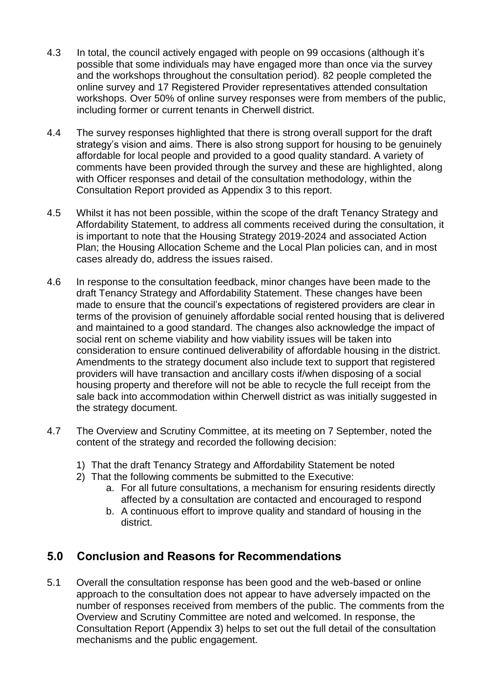- 4.3 In total, the council actively engaged with people on 99 occasions (although it's possible that some individuals may have engaged more than once via the survey and the workshops throughout the consultation period). 82 people completed the online survey and 17 Registered Provider representatives attended consultation workshops. Over 50% of online survey responses were from members of the public, including former or current tenants in Cherwell district.
- 4.4 The survey responses highlighted that there is strong overall support for the draft strategy's vision and aims. There is also strong support for housing to be genuinely affordable for local people and provided to a good quality standard. A variety of comments have been provided through the survey and these are highlighted, along with Officer responses and detail of the consultation methodology, within the Consultation Report provided as Appendix 3 to this report.
- 4.5 Whilst it has not been possible, within the scope of the draft Tenancy Strategy and Affordability Statement, to address all comments received during the consultation, it is important to note that the Housing Strategy 2019-2024 and associated Action Plan; the Housing Allocation Scheme and the Local Plan policies can, and in most cases already do, address the issues raised.
- 4.6 In response to the consultation feedback, minor changes have been made to the draft Tenancy Strategy and Affordability Statement. These changes have been made to ensure that the council's expectations of registered providers are clear in terms of the provision of genuinely affordable social rented housing that is delivered and maintained to a good standard. The changes also acknowledge the impact of social rent on scheme viability and how viability issues will be taken into consideration to ensure continued deliverability of affordable housing in the district. Amendments to the strategy document also include text to support that registered providers will have transaction and ancillary costs if/when disposing of a social housing property and therefore will not be able to recycle the full receipt from the sale back into accommodation within Cherwell district as was initially suggested in the strategy document.
- 4.7 The Overview and Scrutiny Committee, at its meeting on 7 September, noted the content of the strategy and recorded the following decision:
	- 1) That the draft Tenancy Strategy and Affordability Statement be noted
	- 2) That the following comments be submitted to the Executive:
		- a. For all future consultations, a mechanism for ensuring residents directly affected by a consultation are contacted and encouraged to respond
		- b. A continuous effort to improve quality and standard of housing in the district.

## **5.0 Conclusion and Reasons for Recommendations**

5.1 Overall the consultation response has been good and the web-based or online approach to the consultation does not appear to have adversely impacted on the number of responses received from members of the public. The comments from the Overview and Scrutiny Committee are noted and welcomed. In response, the Consultation Report (Appendix 3) helps to set out the full detail of the consultation mechanisms and the public engagement.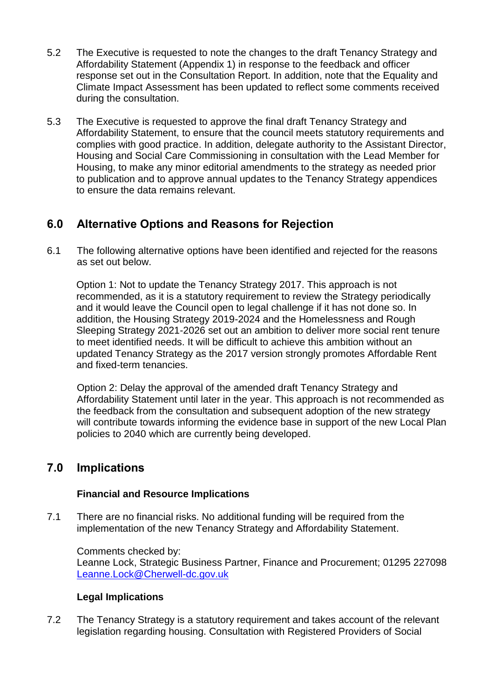- 5.2 The Executive is requested to note the changes to the draft Tenancy Strategy and Affordability Statement (Appendix 1) in response to the feedback and officer response set out in the Consultation Report. In addition, note that the Equality and Climate Impact Assessment has been updated to reflect some comments received during the consultation.
- 5.3 The Executive is requested to approve the final draft Tenancy Strategy and Affordability Statement, to ensure that the council meets statutory requirements and complies with good practice. In addition, delegate authority to the Assistant Director, Housing and Social Care Commissioning in consultation with the Lead Member for Housing, to make any minor editorial amendments to the strategy as needed prior to publication and to approve annual updates to the Tenancy Strategy appendices to ensure the data remains relevant.

## **6.0 Alternative Options and Reasons for Rejection**

6.1 The following alternative options have been identified and rejected for the reasons as set out below.

Option 1: Not to update the Tenancy Strategy 2017. This approach is not recommended, as it is a statutory requirement to review the Strategy periodically and it would leave the Council open to legal challenge if it has not done so. In addition, the Housing Strategy 2019-2024 and the Homelessness and Rough Sleeping Strategy 2021-2026 set out an ambition to deliver more social rent tenure to meet identified needs. It will be difficult to achieve this ambition without an updated Tenancy Strategy as the 2017 version strongly promotes Affordable Rent and fixed-term tenancies.

Option 2: Delay the approval of the amended draft Tenancy Strategy and Affordability Statement until later in the year. This approach is not recommended as the feedback from the consultation and subsequent adoption of the new strategy will contribute towards informing the evidence base in support of the new Local Plan policies to 2040 which are currently being developed.

## **7.0 Implications**

#### **Financial and Resource Implications**

7.1 There are no financial risks. No additional funding will be required from the implementation of the new Tenancy Strategy and Affordability Statement.

Comments checked by: Leanne Lock, Strategic Business Partner, Finance and Procurement; 01295 227098 [Leanne.Lock@Cherwell-dc.gov.uk](mailto:Leanne.Lock@Cherwell-dc.gov.uk)

#### **Legal Implications**

7.2 The Tenancy Strategy is a statutory requirement and takes account of the relevant legislation regarding housing. Consultation with Registered Providers of Social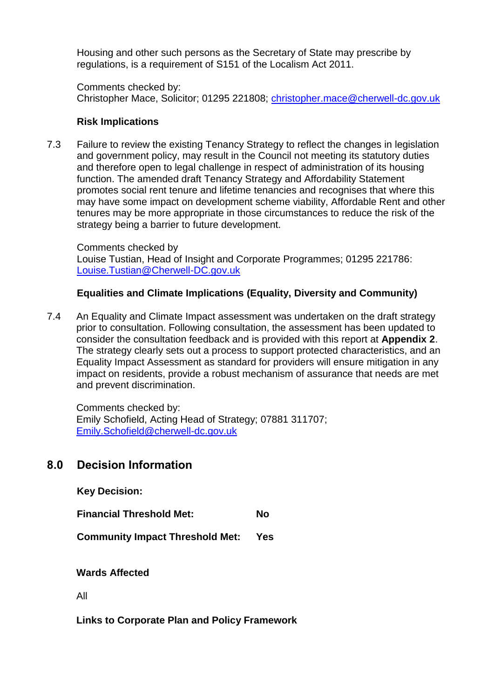Housing and other such persons as the Secretary of State may prescribe by regulations, is a requirement of S151 of the Localism Act 2011.

Comments checked by: Christopher Mace, Solicitor; 01295 221808; [christopher.mace@cherwell-dc.gov.uk](mailto:christopher.mace@cherwell-dc.gov.uk)

### **Risk Implications**

7.3 Failure to review the existing Tenancy Strategy to reflect the changes in legislation and government policy, may result in the Council not meeting its statutory duties and therefore open to legal challenge in respect of administration of its housing function. The amended draft Tenancy Strategy and Affordability Statement promotes social rent tenure and lifetime tenancies and recognises that where this may have some impact on development scheme viability, Affordable Rent and other tenures may be more appropriate in those circumstances to reduce the risk of the strategy being a barrier to future development.

Comments checked by Louise Tustian, Head of Insight and Corporate Programmes; 01295 221786: [Louise.Tustian@Cherwell-DC.gov.uk](mailto:Louise.Tustian@Cherwell-DC.gov.uk)

### **Equalities and Climate Implications (Equality, Diversity and Community)**

7.4 An Equality and Climate Impact assessment was undertaken on the draft strategy prior to consultation. Following consultation, the assessment has been updated to consider the consultation feedback and is provided with this report at **Appendix 2**. The strategy clearly sets out a process to support protected characteristics, and an Equality Impact Assessment as standard for providers will ensure mitigation in any impact on residents, provide a robust mechanism of assurance that needs are met and prevent discrimination.

 Comments checked by: Emily Schofield, Acting Head of Strategy; 07881 311707; [Emily.Schofield@cherwell-dc.gov.uk](mailto:Emily.Schofield@cherwell-dc.gov.uk)

## **8.0 Decision Information**

**Key Decision:** 

**Financial Threshold Met: No** 

**Community Impact Threshold Met: Yes**

**Wards Affected**

All

**Links to Corporate Plan and Policy Framework**